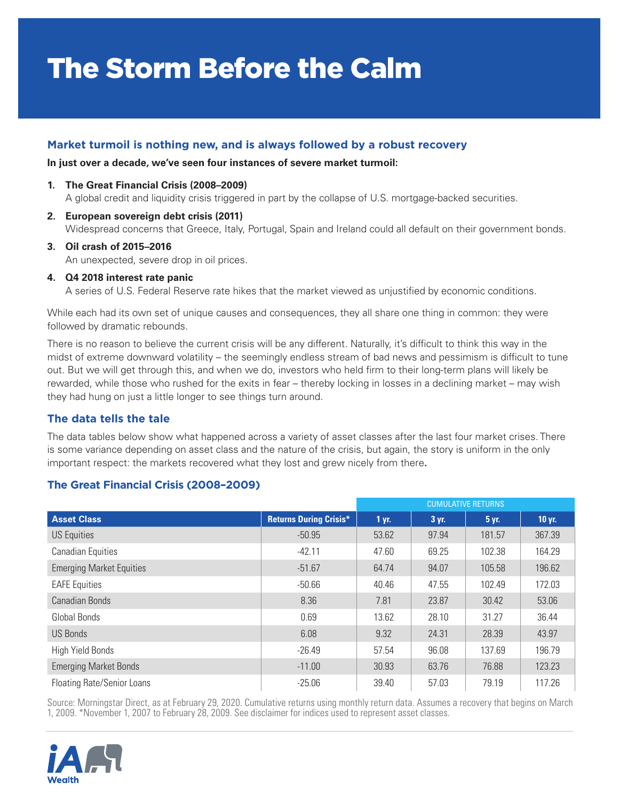# The Storm Before the Calm

## **Market turmoil is nothing new, and is always followed by a robust recovery**

#### **In just over a decade, we've seen four instances of severe market turmoil:**

- **1. The Great Financial Crisis (2008–2009)** A global credit and liquidity crisis triggered in part by the collapse of U.S. mortgage-backed securities.
- **2. European sovereign debt crisis (2011)** Widespread concerns that Greece, Italy, Portugal, Spain and Ireland could all default on their government bonds.
- **3. Oil crash of 2015–2016** An unexpected, severe drop in oil prices.

#### **4. Q4 2018 interest rate panic**

A series of U.S. Federal Reserve rate hikes that the market viewed as unjustified by economic conditions.

While each had its own set of unique causes and consequences, they all share one thing in common: they were followed by dramatic rebounds.

There is no reason to believe the current crisis will be any different. Naturally, it's difficult to think this way in the midst of extreme downward volatility – the seemingly endless stream of bad news and pessimism is difficult to tune out. But we will get through this, and when we do, investors who held firm to their long-term plans will likely be rewarded, while those who rushed for the exits in fear – thereby locking in losses in a declining market – may wish they had hung on just a little longer to see things turn around.

### **The data tells the tale**

The data tables below show what happened across a variety of asset classes after the last four market crises. There is some variance depending on asset class and the nature of the crisis, but again, the story is uniform in the only important respect: the markets recovered what they lost and grew nicely from there**.** 

## **The Great Financial Crisis (2008–2009)**

|                                   |                               | <b>CUMULATIVE RETURNS</b> |       |        |          |
|-----------------------------------|-------------------------------|---------------------------|-------|--------|----------|
| <b>Asset Class</b>                | <b>Returns During Crisis*</b> | 1 yr.                     | 3 yr. | 5 yr.  | $10$ yr. |
| <b>US Equities</b>                | $-50.95$                      | 53.62                     | 97.94 | 181.57 | 367.39   |
| <b>Canadian Equities</b>          | $-42.11$                      | 47.60                     | 69.25 | 102.38 | 164.29   |
| <b>Emerging Market Equities</b>   | $-51.67$                      | 64.74                     | 94.07 | 105.58 | 196.62   |
| <b>EAFE</b> Equities              | $-50.66$                      | 40.46                     | 47.55 | 102.49 | 172.03   |
| <b>Canadian Bonds</b>             | 8.36                          | 7.81                      | 23.87 | 30.42  | 53.06    |
| Global Bonds                      | 0.69                          | 13.62                     | 28.10 | 31.27  | 36.44    |
| <b>US Bonds</b>                   | 6.08                          | 9.32                      | 24.31 | 28.39  | 43.97    |
| <b>High Yield Bonds</b>           | $-26.49$                      | 57.54                     | 96.08 | 137.69 | 196.79   |
| <b>Emerging Market Bonds</b>      | $-11.00$                      | 30.93                     | 63.76 | 76.88  | 123.23   |
| <b>Floating Rate/Senior Loans</b> | $-25.06$                      | 39.40                     | 57.03 | 79.19  | 117.26   |

Source: Morningstar Direct, as at February 29, 2020. Cumulative returns using monthly return data. Assumes a recovery that begins on March 1, 2009. \*November 1, 2007 to February 28, 2009. See disclaimer for indices used to represent asset classes.

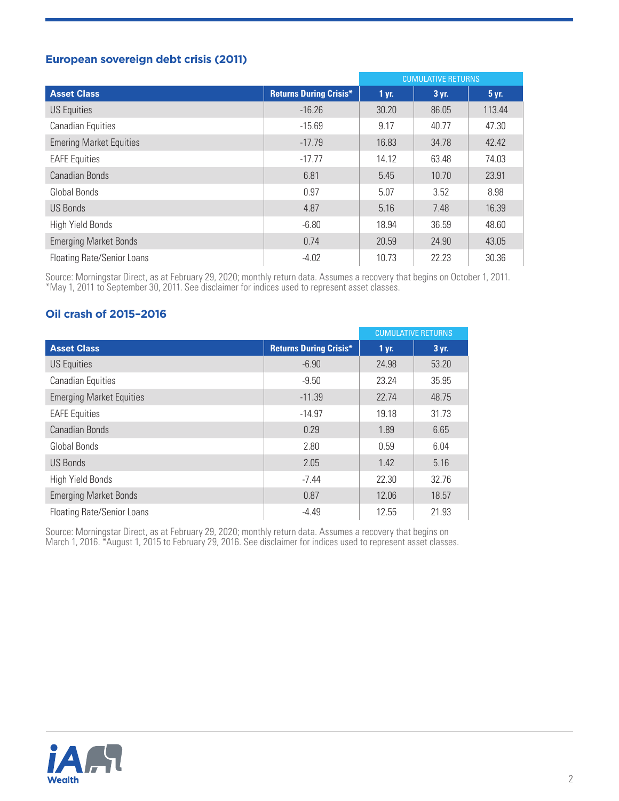# **European sovereign debt crisis (2011)**

|                                   |                               | <b>CUMULATIVE RETURNS</b> |       |        |
|-----------------------------------|-------------------------------|---------------------------|-------|--------|
| <b>Asset Class</b>                | <b>Returns During Crisis*</b> | 1 yr.                     | 3 yr. | 5 yr.  |
| US Equities                       | $-16.26$                      | 30.20                     | 86.05 | 113.44 |
| <b>Canadian Equities</b>          | $-15.69$                      | 9.17                      | 40.77 | 47.30  |
| <b>Emering Market Equities</b>    | $-17.79$                      | 16.83                     | 34.78 | 42.42  |
| <b>EAFE Equities</b>              | $-17.77$                      | 14.12                     | 63.48 | 74.03  |
| Canadian Bonds                    | 6.81                          | 5.45                      | 10.70 | 23.91  |
| Global Bonds                      | 0.97                          | 5.07                      | 3.52  | 8.98   |
| <b>US Bonds</b>                   | 4.87                          | 5.16                      | 7.48  | 16.39  |
| <b>High Yield Bonds</b>           | $-6.80$                       | 18.94                     | 36.59 | 48.60  |
| <b>Emerging Market Bonds</b>      | 0.74                          | 20.59                     | 24.90 | 43.05  |
| <b>Floating Rate/Senior Loans</b> | $-4.02$                       | 10.73                     | 22.23 | 30.36  |

Source: Morningstar Direct, as at February 29, 2020; monthly return data. Assumes a recovery that begins on October 1, 2011. \*May 1, 2011 to September 30, 2011. See disclaimer for indices used to represent asset classes.

# **Oil crash of 2015–2016**

|                                   |                               |       | <b>CUMULATIVE RETURNS</b> |
|-----------------------------------|-------------------------------|-------|---------------------------|
| <b>Asset Class</b>                | <b>Returns During Crisis*</b> | 1 yr. | 3 yr.                     |
| <b>US Equities</b>                | $-6.90$                       | 24.98 | 53.20                     |
| <b>Canadian Equities</b>          | $-9.50$                       | 23.24 | 35.95                     |
| <b>Emerging Market Equities</b>   | $-11.39$                      | 22.74 | 48.75                     |
| <b>EAFE</b> Equities              | $-14.97$                      | 19.18 | 31.73                     |
| Canadian Bonds                    | 0.29                          | 1.89  | 6.65                      |
| Global Bonds                      | 2.80                          | 0.59  | 6.04                      |
| US Bonds                          | 2.05                          | 1.42  | 5.16                      |
| <b>High Yield Bonds</b>           | $-7.44$                       | 22.30 | 32.76                     |
| <b>Emerging Market Bonds</b>      | 0.87                          | 12.06 | 18.57                     |
| <b>Floating Rate/Senior Loans</b> | $-4.49$                       | 12.55 | 21.93                     |

Source: Morningstar Direct, as at February 29, 2020; monthly return data. Assumes a recovery that begins on March 1, 2016. \*August 1, 2015 to February 29, 2016. See disclaimer for indices used to represent asset classes.